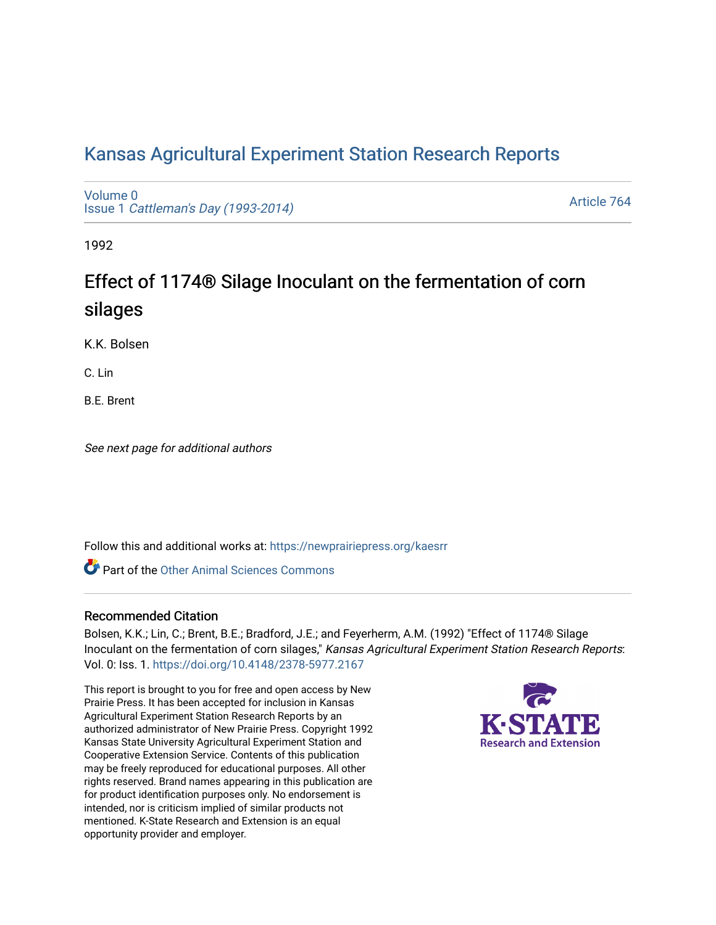# [Kansas Agricultural Experiment Station Research Reports](https://newprairiepress.org/kaesrr)

[Volume 0](https://newprairiepress.org/kaesrr/vol0) Issue 1 [Cattleman's Day \(1993-2014\)](https://newprairiepress.org/kaesrr/vol0/iss1) 

[Article 764](https://newprairiepress.org/kaesrr/vol0/iss1/764) 

1992

# Effect of 1174® Silage Inoculant on the fermentation of corn silages

K.K. Bolsen

C. Lin

B.E. Brent

See next page for additional authors

Follow this and additional works at: [https://newprairiepress.org/kaesrr](https://newprairiepress.org/kaesrr?utm_source=newprairiepress.org%2Fkaesrr%2Fvol0%2Fiss1%2F764&utm_medium=PDF&utm_campaign=PDFCoverPages) 

**C** Part of the [Other Animal Sciences Commons](http://network.bepress.com/hgg/discipline/82?utm_source=newprairiepress.org%2Fkaesrr%2Fvol0%2Fiss1%2F764&utm_medium=PDF&utm_campaign=PDFCoverPages)

# Recommended Citation

Bolsen, K.K.; Lin, C.; Brent, B.E.; Bradford, J.E.; and Feyerherm, A.M. (1992) "Effect of 1174® Silage Inoculant on the fermentation of corn silages," Kansas Agricultural Experiment Station Research Reports: Vol. 0: Iss. 1. <https://doi.org/10.4148/2378-5977.2167>

This report is brought to you for free and open access by New Prairie Press. It has been accepted for inclusion in Kansas Agricultural Experiment Station Research Reports by an authorized administrator of New Prairie Press. Copyright 1992 Kansas State University Agricultural Experiment Station and Cooperative Extension Service. Contents of this publication may be freely reproduced for educational purposes. All other rights reserved. Brand names appearing in this publication are for product identification purposes only. No endorsement is intended, nor is criticism implied of similar products not mentioned. K-State Research and Extension is an equal opportunity provider and employer.

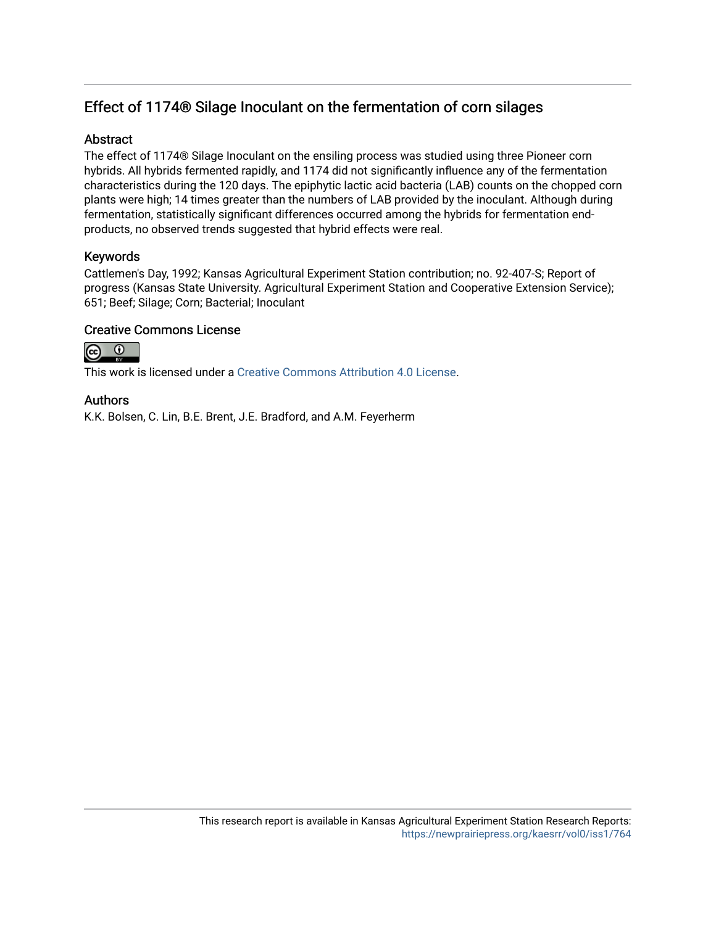# Effect of 1174® Silage Inoculant on the fermentation of corn silages

# **Abstract**

The effect of 1174® Silage Inoculant on the ensiling process was studied using three Pioneer corn hybrids. All hybrids fermented rapidly, and 1174 did not significantly influence any of the fermentation characteristics during the 120 days. The epiphytic lactic acid bacteria (LAB) counts on the chopped corn plants were high; 14 times greater than the numbers of LAB provided by the inoculant. Although during fermentation, statistically significant differences occurred among the hybrids for fermentation endproducts, no observed trends suggested that hybrid effects were real.

# Keywords

Cattlemen's Day, 1992; Kansas Agricultural Experiment Station contribution; no. 92-407-S; Report of progress (Kansas State University. Agricultural Experiment Station and Cooperative Extension Service); 651; Beef; Silage; Corn; Bacterial; Inoculant

# Creative Commons License



This work is licensed under a [Creative Commons Attribution 4.0 License](https://creativecommons.org/licenses/by/4.0/).

## Authors

K.K. Bolsen, C. Lin, B.E. Brent, J.E. Bradford, and A.M. Feyerherm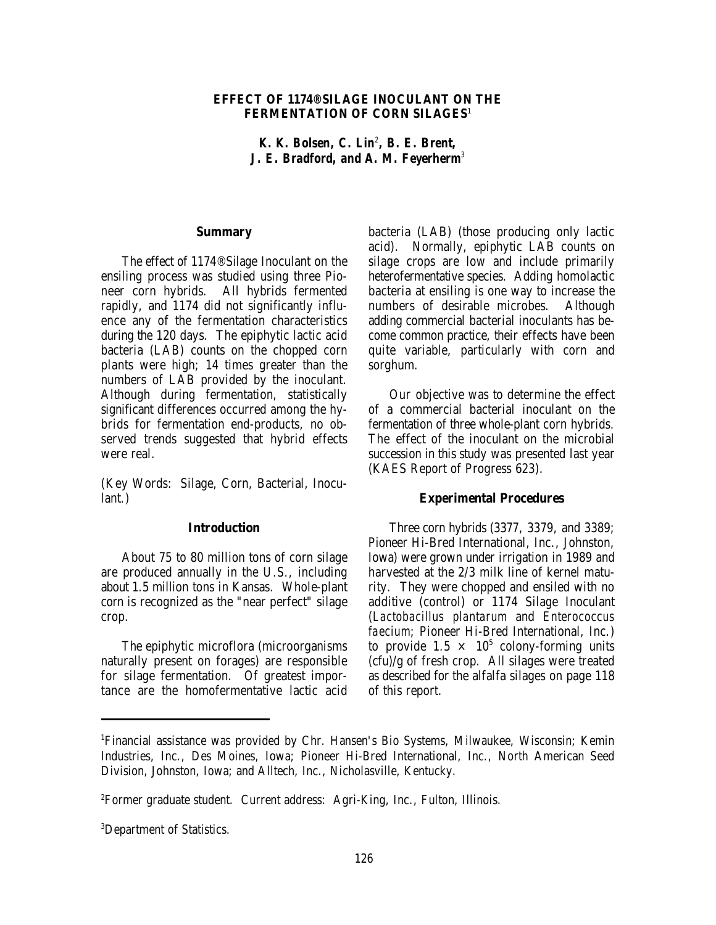### **EFFECT OF 1174® SILAGE INOCULANT ON THE FERMENTATION OF CORN SILAGES**<sup>1</sup>

*K. K. Bolsen, C. Lin<sup>2</sup>, B. E. Brent, J. E. Bradford, and A. M. Feyerherm<sup>3</sup>*

#### **Summary**

The effect of 1174® Silage Inoculant on the ensiling process was studied using three Pioneer corn hybrids. All hybrids fermented rapidly, and 1174 did not significantly influence any of the fermentation characteristics during the 120 days. The epiphytic lactic acid bacteria (LAB) counts on the chopped corn plants were high; 14 times greater than the numbers of LAB provided by the inoculant. Although during fermentation, statistically significant differences occurred among the hybrids for fermentation end-products, no observed trends suggested that hybrid effects were real.

(Key Words: Silage, Corn, Bacterial, Inoculant.)

### **Introduction**

About 75 to 80 million tons of corn silage are produced annually in the U.S., including about 1.5 million tons in Kansas. Whole-plant corn is recognized as the "near perfect" silage crop.

The epiphytic microflora (microorganisms naturally present on forages) are responsible for silage fermentation. Of greatest importance are the homofermentative lactic acid bacteria (LAB) (those producing only lactic acid). Normally, epiphytic LAB counts on silage crops are low and include primarily heterofermentative species. Adding homolactic bacteria at ensiling is one way to increase the numbers of desirable microbes. Although adding commercial bacterial inoculants has become common practice, their effects have been quite variable, particularly with corn and sorghum.

Our objective was to determine the effect of a commercial bacterial inoculant on the fermentation of three whole-plant corn hybrids. The effect of the inoculant on the microbial succession in this study was presented last year (KAES Report of Progress 623).

#### **Experimental Procedures**

Three corn hybrids (3377, 3379, and 3389; Pioneer Hi-Bred International, Inc., Johnston, Iowa) were grown under irrigation in 1989 and harvested at the 2/3 milk line of kernel maturity. They were chopped and ensiled with no additive (control) or 1174 Silage Inoculant (*Lactobacillus plantarum* and *Enterococcus faecium*; Pioneer Hi-Bred International, Inc.) to provide  $1.5 \times 10^5$  colony-forming units (cfu)/g of fresh crop. All silages were treated as described for the alfalfa silages on page 118 of this report.

Financial assistance was provided by Chr. Hansen's Bio Systems, Milwaukee, Wisconsin; Kemin <sup>1</sup> Industries, Inc., Des Moines, Iowa; Pioneer Hi-Bred International, Inc., North American Seed Division, Johnston, Iowa; and Alltech, Inc., Nicholasville, Kentucky.

Former graduate student. Current address: Agri-King, Inc., Fulton, Illinois. <sup>2</sup>

<sup>&</sup>lt;sup>3</sup>Department of Statistics.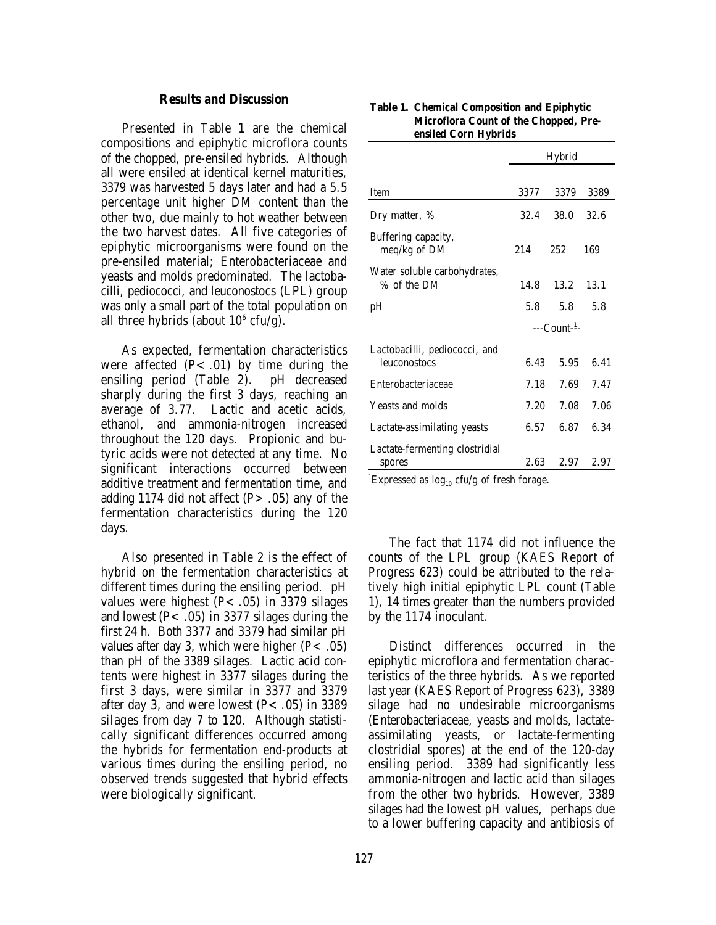#### **Results and Discussion**

Presented in Table 1 are the chemical compositions and epiphytic microflora counts of the chopped, pre-ensiled hybrids. Although all were ensiled at identical kernel maturities, 3379 was harvested 5 days later and had a 5.5 percentage unit higher DM content than the other two, due mainly to hot weather between the two harvest dates. All five categories of epiphytic microorganisms were found on the pre-ensiled material; Enterobacteriaceae and yeasts and molds predominated. The lactobacilli, pediococci, and leuconostocs (LPL) group was only a small part of the total population on all three hybrids (about  $10^6$  cfu/g).

As expected, fermentation characteristics were affected  $(P<.01)$  by time during the ensiling period (Table 2). pH decreased sharply during the first 3 days, reaching an average of 3.77. Lactic and acetic acids, ethanol, and ammonia-nitrogen increased throughout the 120 days. Propionic and butyric acids were not detected at any time. No significant interactions occurred between additive treatment and fermentation time, and adding 1174 did not affect  $(P > .05)$  any of the fermentation characteristics during the 120 days.

Also presented in Table 2 is the effect of hybrid on the fermentation characteristics at different times during the ensiling period. pH values were highest  $(P < .05)$  in 3379 silages and lowest  $(P < .05)$  in 3377 silages during the first 24 h. Both 3377 and 3379 had similar pH values after day 3, which were higher  $(P < .05)$ than pH of the 3389 silages. Lactic acid contents were highest in 3377 silages during the first 3 days, were similar in 3377 and 3379 after day 3, and were lowest  $(P<.05)$  in 3389 silages from day 7 to 120. Although statistically significant differences occurred among the hybrids for fermentation end-products at various times during the ensiling period, no observed trends suggested that hybrid effects were biologically significant.

|                                               | Hybrid     |         |      |  |  |
|-----------------------------------------------|------------|---------|------|--|--|
| Item                                          | 3377       | 3379    | 3389 |  |  |
| Dry matter, %                                 | 32.4       | 38.0    | 32.6 |  |  |
| Buffering capacity,<br>meq/kg of DM           | 214        | 252     | 169  |  |  |
| Water soluble carbohydrates,<br>% of the DM   | 14.8       | 13.2    | 13.1 |  |  |
| pН                                            |            | 5.8 5.8 | 5.8  |  |  |
|                                               | $--Count1$ |         |      |  |  |
| Lactobacilli, pediococci, and<br>leuconostocs | 6.43       | 5.95    | 6.41 |  |  |
| Enterobacteriaceae                            | 7.18       | 7.69    | 7.47 |  |  |
| Yeasts and molds                              | 7.20       | 7.08    | 7.06 |  |  |
| Lactate-assimilating yeasts                   | 6.57       | 6.87    | 6.34 |  |  |
| Lactate-fermenting clostridial<br>spores      | 2.63       | 2.97    | 2.97 |  |  |

#### **Table 1. Chemical Composition and Epiphytic Microflora Count of the Chopped, Preensiled Corn Hybrids**

<sup>1</sup>Expressed as  $log_{10}$  cfu/g of fresh forage.

The fact that 1174 did not influence the counts of the LPL group (KAES Report of Progress 623) could be attributed to the relatively high initial epiphytic LPL count (Table 1), 14 times greater than the numbers provided by the 1174 inoculant.

Distinct differences occurred in the epiphytic microflora and fermentation characteristics of the three hybrids. As we reported last year (KAES Report of Progress 623), 3389 silage had no undesirable microorganisms (Enterobacteriaceae, yeasts and molds, lactateassimilating yeasts, or lactate-fermenting clostridial spores) at the end of the 120-day ensiling period. 3389 had significantly less ammonia-nitrogen and lactic acid than silages from the other two hybrids. However, 3389 silages had the lowest pH values, perhaps due to a lower buffering capacity and antibiosis of